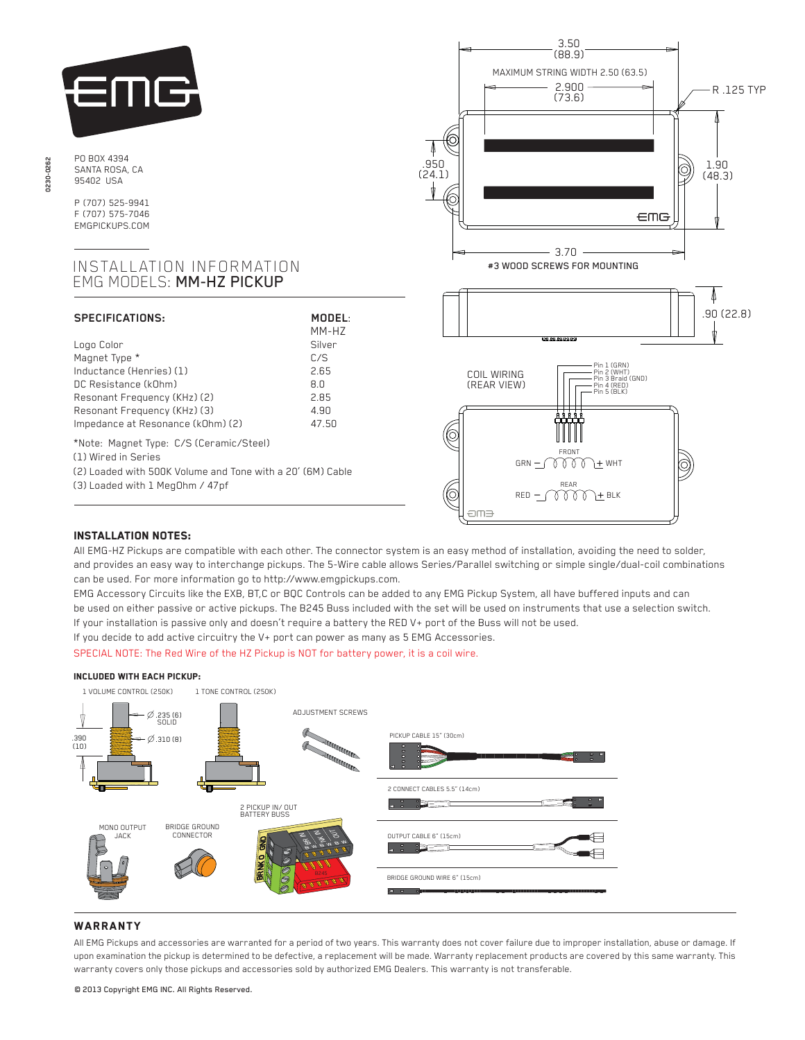

PO BOX 4394 SANTA ROSA, CA 95402 USA

P (707) 525-9941 F (707) 575-7046 EMGPICKUPS.COM

## INSTALLATION INFORMATION EMG MODELS: MM-HZ PICKUP

| <b>SPECIFICATIONS:</b>                                                                                                                                                               | MODEL:<br>MM-HZ                                      |
|--------------------------------------------------------------------------------------------------------------------------------------------------------------------------------------|------------------------------------------------------|
| Logo Color<br>Magnet Type *<br>Inductance (Henries) (1)<br>DC Resistance (kOhm)<br>Resonant Frequency (KHz) (2)<br>Resonant Frequency (KHz) (3)<br>Impedance at Resonance (kOhm) (2) | Silver<br>C/S<br>2 65<br>R N<br>285<br>4.90<br>47.50 |
| *Note: Magnet Type: C/S (Ceramic/Steel)<br>(1) Wired in Series<br>(2) Loaded with 500K Volume and Tone with a 20' (6M) Cable<br>(3) Loaded with 1 MegOhm / 47pf                      |                                                      |



# Installation notes:

All EMG-HZ Pickups are compatible with each other. The connector system is an easy method of installation, avoiding the need to solder, and provides an easy way to interchange pickups. The 5-Wire cable allows Series/Parallel switching or simple single/dual-coil combinations can be used. For more information go to http://www.emgpickups.com.

EMG Accessory Circuits like the EXB, BT,C or BQC Controls can be added to any EMG Pickup System, all have buffered inputs and can be used on either passive or active pickups. The B245 Buss included with the set will be used on instruments that use a selection switch. If your installation is passive only and doesn't require a battery the RED V+ port of the Buss will not be used.

If you decide to add active circuitry the V+ port can power as many as 5 EMG Accessories.

SPECIAL NOTE: The Red Wire of the HZ Pickup is NOT for battery power, it is a coil wire.

#### Included with each pickup:

1 VOLUME CONTROL (250K) 1 TONE CONTROL (250K) ADJUSTMENT SCREWS .235 (6) SOLID PICKUP CABLE 15" (30cm)  $(8.310(8))$ .390 (10) **ULUMID MARKARDS** 2 CONNECT CABLES 5.5" (14cm)  $\overline{\mathcal{L}}$ 2 PICKUP IN/ OUT BATTERY BUSS BRIDGE GROUND MONO OUTPUT JACK CONNECTOR OUTPUT CABLE 6" (15cm) le estado ਗ਼ BRIDGE GROUND WIRE 6" (15cm)

### **WARRANTY**

All EMG Pickups and accessories are warranted for a period of two years. This warranty does not cover failure due to improper installation, abuse or damage. If upon examination the pickup is determined to be defective, a replacement will be made. Warranty replacement products are covered by this same warranty. This warranty covers only those pickups and accessories sold by authorized EMG Dealers. This warranty is not transferable.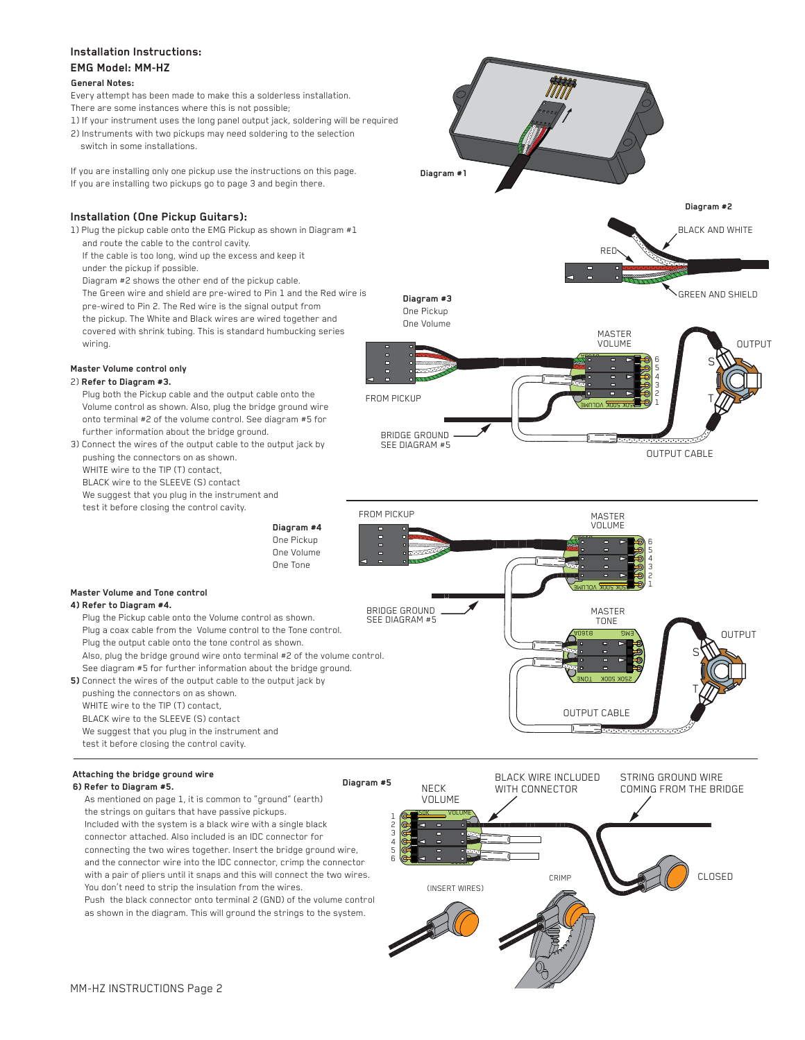# **Installation Instructions: EMG Model: MM-HZ**

#### **General Notes:**

- Every attempt has been made to make this a solderless installation. There are some instances where this is not possible;
- 1) If your instrument uses the long panel output jack, soldering will be required 2) Instruments with two pickups may need soldering to the selection
- switch in some installations.

If you are installing only one pickup use the instructions on this page. If you are installing two pickups go to page 3 and begin there.

## **Installation (One Pickup Guitars):**

1) Plug the pickup cable onto the EMG Pickup as shown in Diagram #1 and route the cable to the control cavity.

 If the cable is too long, wind up the excess and keep it under the pickup if possible.

Diagram #2 shows the other end of the pickup cable.

 The Green wire and shield are pre-wired to Pin 1 and the Red wire is pre-wired to Pin 2. The Red wire is the signal output from the pickup. The White and Black wires are wired together and covered with shrink tubing. This is standard humbucking series wiring.

### **Master Volume control only**

### 2) **Refer to Diagram #3.**

 Plug both the Pickup cable and the output cable onto the Volume control as shown. Also, plug the bridge ground wire onto terminal #2 of the volume control. See diagram #5 for further information about the bridge ground.

3) Connect the wires of the output cable to the output jack by pushing the connectors on as shown. WHITE wire to the TIP (T) contact BLACK wire to the SLEEVE (S) contact

We suggest that you plug in the instrument and

test it before closing the control cavity.



**Diagram #1**

**Diagram #2**

BLACK AND WHITE

RED

**5)** Connect the wires of the output cable to the output jack by pushing the connectors on as shown. WHITE wire to the TIP (T) contact, BLACK wire to the SLEEVE (S) contact We suggest that you plug in the instrument and

test it before closing the control cavity.

## **Attaching the bridge ground wire**

**Master Volume and Tone control 4) Refer to Diagram #4.** 

### **6) Refer to Diagram #5.**

 As mentioned on page 1, it is common to "ground" (earth) the strings on guitars that have passive pickups. Included with the system is a black wire with a single black connector attached. Also included is an IDC connector for connecting the two wires together. Insert the bridge ground wire, and the connector wire into the IDC connector, crimp the connector with a pair of pliers until it snaps and this will connect the two wires. You don't need to strip the insulation from the wires.

 Push the black connector onto terminal 2 (GND) of the volume control as shown in the diagram. This will ground the strings to the system.

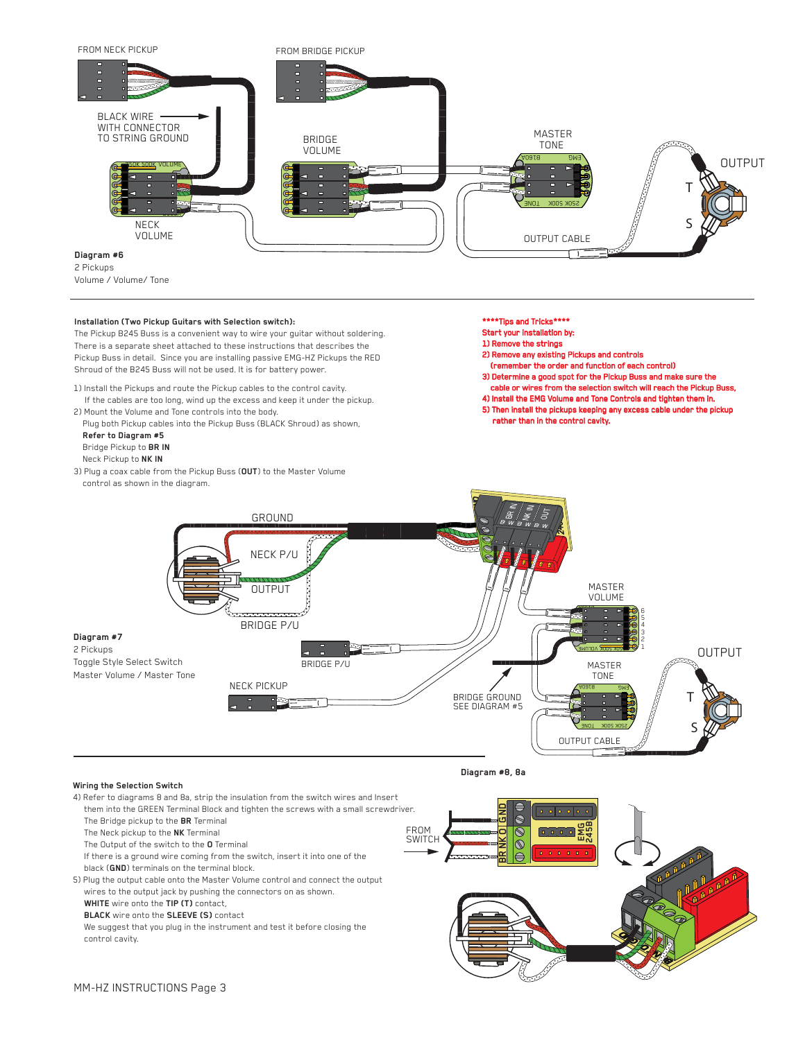

2 Pickups Volume / Volume/ Tone

#### **Installation (Two Pickup Guitars with Selection switch):**

The Pickup B245 Buss is a convenient way to wire your guitar without soldering. There is a separate sheet attached to these instructions that describes the Pickup Buss in detail. Since you are installing passive EMG-HZ Pickups the RED Shroud of the B245 Buss will not be used. It is for battery power.

- 1) Install the Pickups and route the Pickup cables to the control cavity. If the cables are too long, wind up the excess and keep it under the pickup.
- 2) Mount the Volume and Tone controls into the body. Plug both Pickup cables into the Pickup Buss (BLACK Shroud) as shown,

 **Refer to Diagram #5** Bridge Pickup to **BR IN** Neck Pickup to **NK IN**

3) Plug a coax cable from the Pickup Buss (**OUT**) to the Master Volume control as shown in the diagram.

#### \*\*\*\*Tips and Tricks\*\*\*\*

Start your installation by:

- 1) Remove the strings
- 2) Remove any existing Pickups and controls
- (remember the order and function of each control) 3) Determine a good spot for the Pickup Buss and make sure the
- cable or wires from the selection switch will reach the Pickup Bus
- 4) Install the EMG Volume and Tone Controls and tighten them in.
- 5) Then install the pickups keeping any excess cable under the pickup rather than in the control cavity.



**Diagram #8, 8a**

#### **Wiring the Selection Switch**

4) Refer to diagrams 8 and 8a, strip the insulation from the switch wires and Insert them into the GREEN Terminal Block and tighten the screws with a small screwdriver. **BR GND**  $\hat{\mathcal{S}}$  The Bridge pickup to the **BR** Terminal FROM **EMG 245B** The Neck pickup to the **NK** Terminal  $\circledS$ **OSWITCH NK** The Output of the switch to the **O** Terminal  $\mathbb{N}$  If there is a ground wire coming from the switch, insert it into one of the black (**GND**) terminals on the terminal block. 5) Plug the output cable onto the Master Volume control and connect the output wires to the output jack by pushing the connectors on as shown. **WHITE** wire onto the **TIP (T)** contact, **BLACK** wire onto the **SLEEVE (S)** contact We suggest that you plug in the instrument and test it before closing the control cavity.